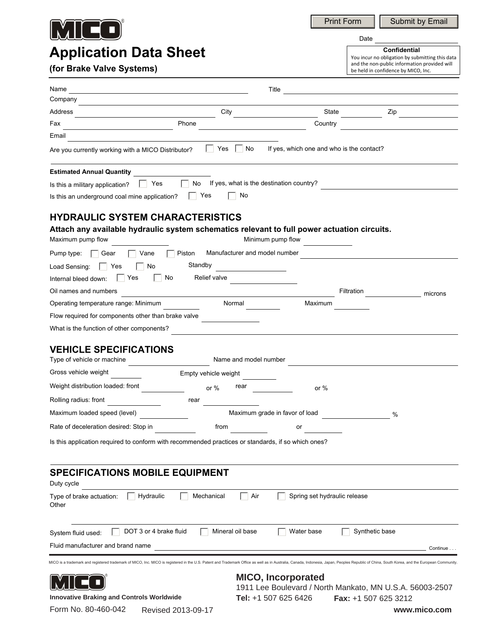|                                                                                                                                                                                                                                | <b>Print Form</b>                                                                     |                                                                                                     | Submit by Email                                 |
|--------------------------------------------------------------------------------------------------------------------------------------------------------------------------------------------------------------------------------|---------------------------------------------------------------------------------------|-----------------------------------------------------------------------------------------------------|-------------------------------------------------|
|                                                                                                                                                                                                                                |                                                                                       | Date                                                                                                |                                                 |
| <b>Application Data Sheet</b><br>(for Brake Valve Systems)                                                                                                                                                                     |                                                                                       | Confidential<br>and the non-public information provided will<br>be held in confidence by MICO, Inc. | You incur no obligation by submitting this data |
| Name<br><u> 1989 - Johann Stoff, Amerikaansk politiker (</u>                                                                                                                                                                   |                                                                                       |                                                                                                     |                                                 |
| Company                                                                                                                                                                                                                        |                                                                                       |                                                                                                     |                                                 |
| City<br>Address<br><u> 1980 - Johann Barbara, martin d</u>                                                                                                                                                                     | <b>State</b>                                                                          | Zip                                                                                                 |                                                 |
| Fax<br>Phone                                                                                                                                                                                                                   | Country                                                                               |                                                                                                     |                                                 |
| Email                                                                                                                                                                                                                          |                                                                                       |                                                                                                     |                                                 |
| Yes<br>No<br>Are you currently working with a MICO Distributor?                                                                                                                                                                | If yes, which one and who is the contact?                                             |                                                                                                     |                                                 |
| <b>Estimated Annual Quantity</b>                                                                                                                                                                                               |                                                                                       |                                                                                                     |                                                 |
| If yes, what is the destination country?<br>  No<br>Yes<br>Is this a military application?                                                                                                                                     |                                                                                       |                                                                                                     |                                                 |
| Yes<br>No<br>Is this an underground coal mine application?                                                                                                                                                                     |                                                                                       |                                                                                                     |                                                 |
| <b>HYDRAULIC SYSTEM CHARACTERISTICS</b>                                                                                                                                                                                        |                                                                                       |                                                                                                     |                                                 |
| Attach any available hydraulic system schematics relevant to full power actuation circuits.                                                                                                                                    |                                                                                       |                                                                                                     |                                                 |
| Maximum pump flow                                                                                                                                                                                                              | Minimum pump flow                                                                     |                                                                                                     |                                                 |
| Manufacturer and model number<br>Piston<br>Pump type:<br>Gear<br>Vane                                                                                                                                                          |                                                                                       |                                                                                                     |                                                 |
| Standby<br>No<br>Load Sensing:<br>Yes                                                                                                                                                                                          |                                                                                       |                                                                                                     |                                                 |
| No<br>Relief valve<br>Yes<br>Internal bleed down:                                                                                                                                                                              | $\blacktriangledown$                                                                  |                                                                                                     |                                                 |
| Oil names and numbers                                                                                                                                                                                                          |                                                                                       | Filtration                                                                                          | microns                                         |
| Operating temperature range: Minimum<br>Normal<br>$\blacktriangledown$                                                                                                                                                         | Maximum<br>$\blacktriangledown$                                                       | $\mathbf{v}$                                                                                        |                                                 |
| Flow required for components other than brake valve                                                                                                                                                                            |                                                                                       |                                                                                                     |                                                 |
| What is the function of other components?                                                                                                                                                                                      |                                                                                       |                                                                                                     |                                                 |
| <b>VEHICLE SPECIFICATIONS</b><br>Type of vehicle or machine<br>Name and model number                                                                                                                                           |                                                                                       |                                                                                                     |                                                 |
| Gross vehicle weight<br>Empty vehicle weight                                                                                                                                                                                   |                                                                                       |                                                                                                     |                                                 |
| Weight distribution loaded: front<br>rear<br>or %                                                                                                                                                                              | or $%$                                                                                |                                                                                                     |                                                 |
| Rolling radius: front<br>rear                                                                                                                                                                                                  |                                                                                       |                                                                                                     |                                                 |
| Maximum loaded speed (level)                                                                                                                                                                                                   | Maximum grade in favor of load                                                        | %                                                                                                   |                                                 |
| Rate of deceleration desired: Stop in<br>from                                                                                                                                                                                  | or                                                                                    | $\vert \mathbf{v} \vert$                                                                            |                                                 |
| Is this application required to conform with recommended practices or standards, if so which ones?                                                                                                                             |                                                                                       |                                                                                                     |                                                 |
|                                                                                                                                                                                                                                |                                                                                       |                                                                                                     |                                                 |
| <b>SPECIFICATIONS MOBILE EQUIPMENT</b>                                                                                                                                                                                         |                                                                                       |                                                                                                     |                                                 |
| Duty cycle                                                                                                                                                                                                                     |                                                                                       |                                                                                                     |                                                 |
| Mechanical<br>Hydraulic<br>Air<br>Type of brake actuation:<br>Other                                                                                                                                                            | Spring set hydraulic release                                                          |                                                                                                     |                                                 |
| DOT 3 or 4 brake fluid<br>Mineral oil base<br>System fluid used:                                                                                                                                                               | Water base                                                                            | Synthetic base                                                                                      |                                                 |
| Fluid manufacturer and brand name                                                                                                                                                                                              |                                                                                       |                                                                                                     | Continue                                        |
|                                                                                                                                                                                                                                |                                                                                       |                                                                                                     |                                                 |
| MICO is a trademark and registered trademark of MICO, Inc. MICO is registered in the U.S. Patent and Trademark Office as well as in Australia, Canada, Indonesia, Japan, Peoples Republic of China, South Korea, and the Europ |                                                                                       |                                                                                                     |                                                 |
|                                                                                                                                                                                                                                | <b>MICO, Incorporated</b><br>1911 Lee Boulevard / North Mankato, MN U.S.A. 56003-2507 |                                                                                                     |                                                 |

**Tel:** +1 507 625 6426 **Fax:** +1 507 625 3212 **Innovative Braking and Controls Worldwide**

Form No. 80-460-042 Revised 2013-09-17 **www.mico.com**